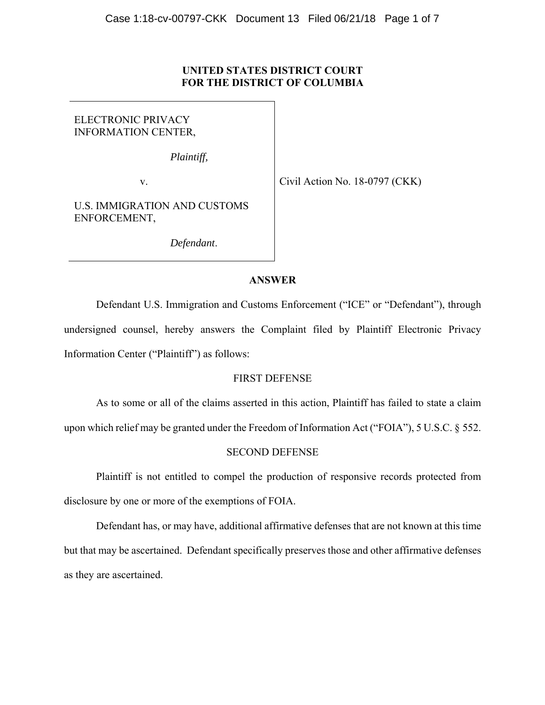# **UNITED STATES DISTRICT COURT FOR THE DISTRICT OF COLUMBIA**

# ELECTRONIC PRIVACY INFORMATION CENTER,

*Plaintiff,* 

v.

Civil Action No. 18-0797 (CKK)

U.S. IMMIGRATION AND CUSTOMS ENFORCEMENT,

*Defendant*.

# **ANSWER**

 Defendant U.S. Immigration and Customs Enforcement ("ICE" or "Defendant"), through undersigned counsel, hereby answers the Complaint filed by Plaintiff Electronic Privacy Information Center ("Plaintiff") as follows:

# FIRST DEFENSE

As to some or all of the claims asserted in this action, Plaintiff has failed to state a claim

upon which relief may be granted under the Freedom of Information Act ("FOIA"), 5 U.S.C. § 552.

# SECOND DEFENSE

Plaintiff is not entitled to compel the production of responsive records protected from disclosure by one or more of the exemptions of FOIA.

Defendant has, or may have, additional affirmative defenses that are not known at this time but that may be ascertained. Defendant specifically preserves those and other affirmative defenses as they are ascertained.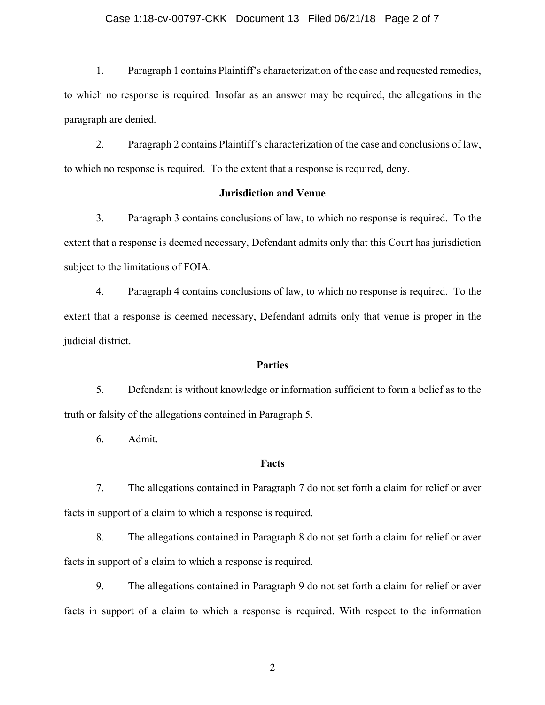#### Case 1:18-cv-00797-CKK Document 13 Filed 06/21/18 Page 2 of 7

1. Paragraph 1 contains Plaintiff's characterization of the case and requested remedies, to which no response is required. Insofar as an answer may be required, the allegations in the paragraph are denied.

2. Paragraph 2 contains Plaintiff's characterization of the case and conclusions of law, to which no response is required. To the extent that a response is required, deny.

#### **Jurisdiction and Venue**

3. Paragraph 3 contains conclusions of law, to which no response is required. To the extent that a response is deemed necessary, Defendant admits only that this Court has jurisdiction subject to the limitations of FOIA.

4. Paragraph 4 contains conclusions of law, to which no response is required. To the extent that a response is deemed necessary, Defendant admits only that venue is proper in the judicial district.

#### **Parties**

5. Defendant is without knowledge or information sufficient to form a belief as to the truth or falsity of the allegations contained in Paragraph 5.

6. Admit.

#### **Facts**

7. The allegations contained in Paragraph 7 do not set forth a claim for relief or aver facts in support of a claim to which a response is required.

8. The allegations contained in Paragraph 8 do not set forth a claim for relief or aver facts in support of a claim to which a response is required.

9. The allegations contained in Paragraph 9 do not set forth a claim for relief or aver facts in support of a claim to which a response is required. With respect to the information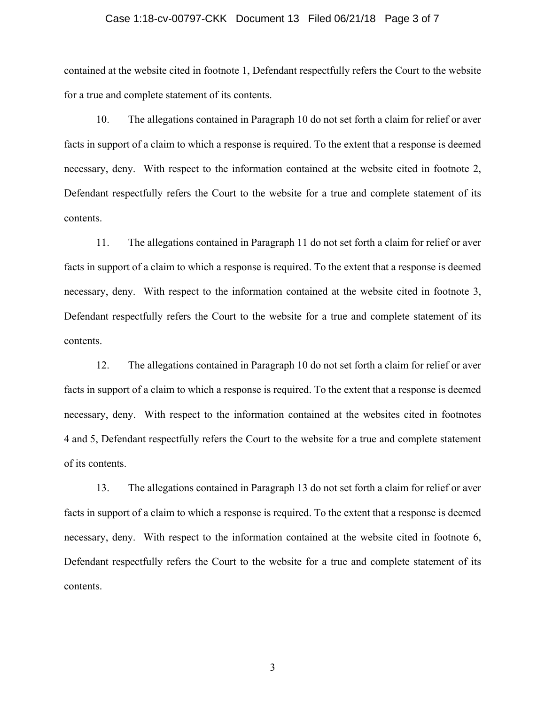#### Case 1:18-cv-00797-CKK Document 13 Filed 06/21/18 Page 3 of 7

contained at the website cited in footnote 1, Defendant respectfully refers the Court to the website for a true and complete statement of its contents.

10. The allegations contained in Paragraph 10 do not set forth a claim for relief or aver facts in support of a claim to which a response is required. To the extent that a response is deemed necessary, deny. With respect to the information contained at the website cited in footnote 2, Defendant respectfully refers the Court to the website for a true and complete statement of its contents.

11. The allegations contained in Paragraph 11 do not set forth a claim for relief or aver facts in support of a claim to which a response is required. To the extent that a response is deemed necessary, deny. With respect to the information contained at the website cited in footnote 3, Defendant respectfully refers the Court to the website for a true and complete statement of its contents.

12. The allegations contained in Paragraph 10 do not set forth a claim for relief or aver facts in support of a claim to which a response is required. To the extent that a response is deemed necessary, deny. With respect to the information contained at the websites cited in footnotes 4 and 5, Defendant respectfully refers the Court to the website for a true and complete statement of its contents.

13. The allegations contained in Paragraph 13 do not set forth a claim for relief or aver facts in support of a claim to which a response is required. To the extent that a response is deemed necessary, deny. With respect to the information contained at the website cited in footnote 6, Defendant respectfully refers the Court to the website for a true and complete statement of its contents.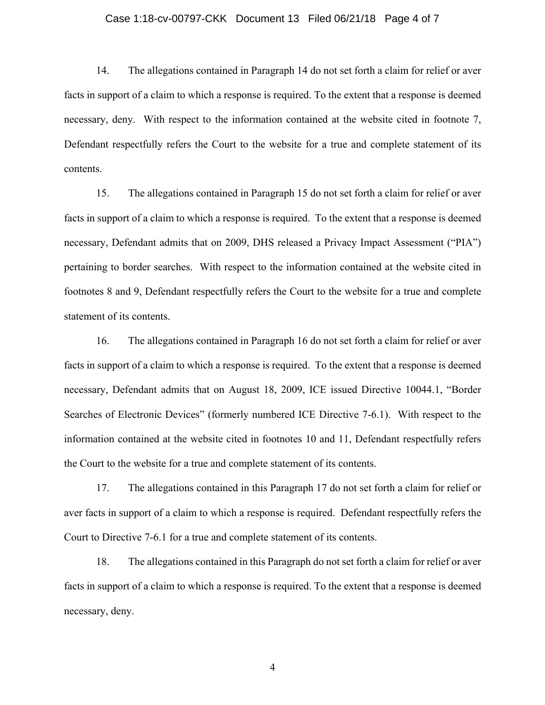#### Case 1:18-cv-00797-CKK Document 13 Filed 06/21/18 Page 4 of 7

14. The allegations contained in Paragraph 14 do not set forth a claim for relief or aver facts in support of a claim to which a response is required. To the extent that a response is deemed necessary, deny. With respect to the information contained at the website cited in footnote 7, Defendant respectfully refers the Court to the website for a true and complete statement of its contents.

15. The allegations contained in Paragraph 15 do not set forth a claim for relief or aver facts in support of a claim to which a response is required. To the extent that a response is deemed necessary, Defendant admits that on 2009, DHS released a Privacy Impact Assessment ("PIA") pertaining to border searches. With respect to the information contained at the website cited in footnotes 8 and 9, Defendant respectfully refers the Court to the website for a true and complete statement of its contents.

16. The allegations contained in Paragraph 16 do not set forth a claim for relief or aver facts in support of a claim to which a response is required. To the extent that a response is deemed necessary, Defendant admits that on August 18, 2009, ICE issued Directive 10044.1, "Border Searches of Electronic Devices" (formerly numbered ICE Directive 7-6.1). With respect to the information contained at the website cited in footnotes 10 and 11, Defendant respectfully refers the Court to the website for a true and complete statement of its contents.

 17. The allegations contained in this Paragraph 17 do not set forth a claim for relief or aver facts in support of a claim to which a response is required. Defendant respectfully refers the Court to Directive 7-6.1 for a true and complete statement of its contents.

18. The allegations contained in this Paragraph do not set forth a claim for relief or aver facts in support of a claim to which a response is required. To the extent that a response is deemed necessary, deny.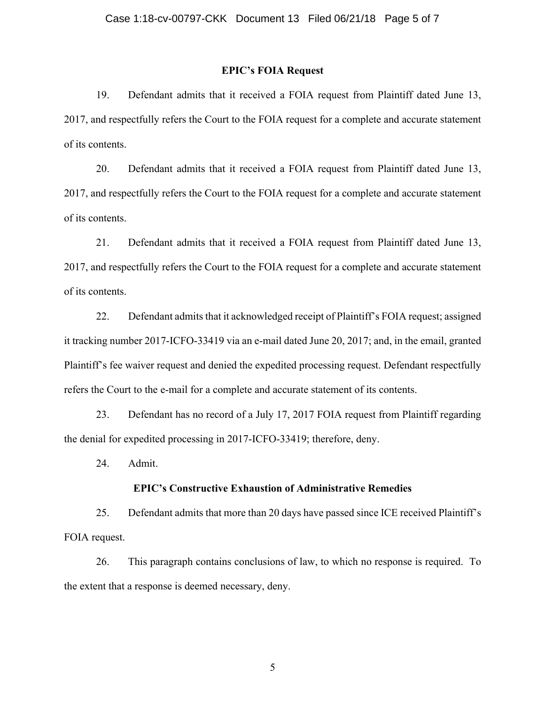#### **EPIC's FOIA Request**

19. Defendant admits that it received a FOIA request from Plaintiff dated June 13, 2017, and respectfully refers the Court to the FOIA request for a complete and accurate statement of its contents.

20. Defendant admits that it received a FOIA request from Plaintiff dated June 13, 2017, and respectfully refers the Court to the FOIA request for a complete and accurate statement of its contents.

21. Defendant admits that it received a FOIA request from Plaintiff dated June 13, 2017, and respectfully refers the Court to the FOIA request for a complete and accurate statement of its contents.

22. Defendant admits that it acknowledged receipt of Plaintiff's FOIA request; assigned it tracking number 2017-ICFO-33419 via an e-mail dated June 20, 2017; and, in the email, granted Plaintiff's fee waiver request and denied the expedited processing request. Defendant respectfully refers the Court to the e-mail for a complete and accurate statement of its contents.

23. Defendant has no record of a July 17, 2017 FOIA request from Plaintiff regarding the denial for expedited processing in 2017-ICFO-33419; therefore, deny.

24. Admit.

#### **EPIC's Constructive Exhaustion of Administrative Remedies**

25. Defendant admits that more than 20 days have passed since ICE received Plaintiff's FOIA request.

26. This paragraph contains conclusions of law, to which no response is required. To the extent that a response is deemed necessary, deny.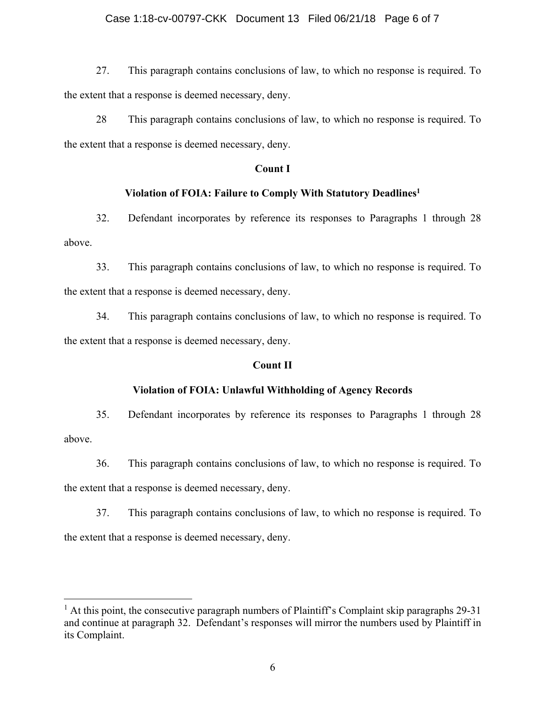### Case 1:18-cv-00797-CKK Document 13 Filed 06/21/18 Page 6 of 7

27. This paragraph contains conclusions of law, to which no response is required. To the extent that a response is deemed necessary, deny.

28 This paragraph contains conclusions of law, to which no response is required. To the extent that a response is deemed necessary, deny.

#### **Count I**

#### **Violation of FOIA: Failure to Comply With Statutory Deadlines1**

32. Defendant incorporates by reference its responses to Paragraphs 1 through 28 above.

33. This paragraph contains conclusions of law, to which no response is required. To the extent that a response is deemed necessary, deny.

34. This paragraph contains conclusions of law, to which no response is required. To the extent that a response is deemed necessary, deny.

#### **Count II**

#### **Violation of FOIA: Unlawful Withholding of Agency Records**

35. Defendant incorporates by reference its responses to Paragraphs 1 through 28 above.

36. This paragraph contains conclusions of law, to which no response is required. To the extent that a response is deemed necessary, deny.

37. This paragraph contains conclusions of law, to which no response is required. To the extent that a response is deemed necessary, deny.

<sup>&</sup>lt;sup>1</sup> At this point, the consecutive paragraph numbers of Plaintiff's Complaint skip paragraphs 29-31 and continue at paragraph 32. Defendant's responses will mirror the numbers used by Plaintiff in its Complaint.